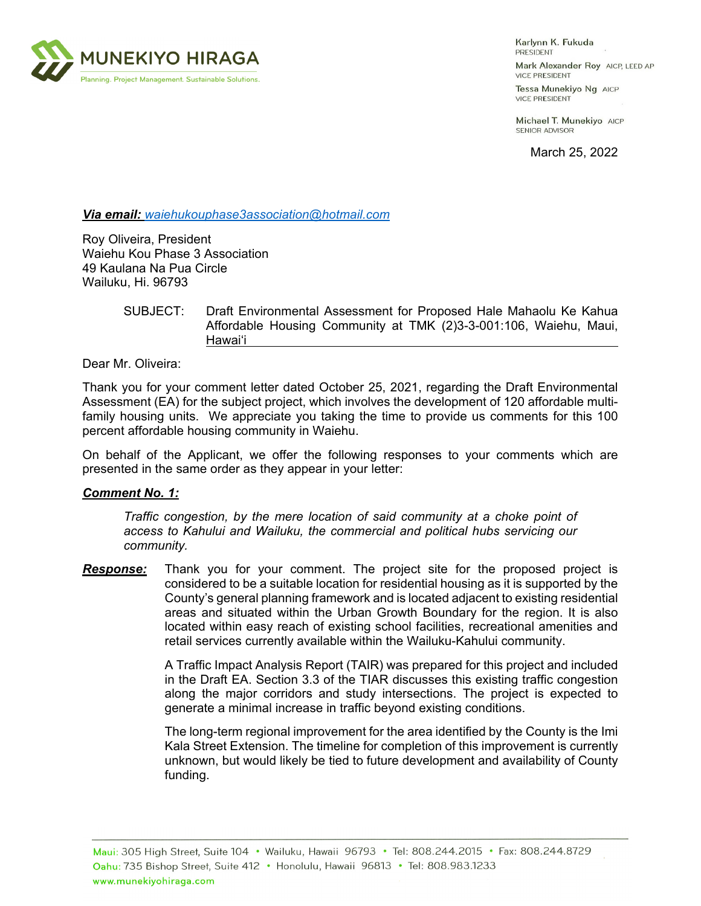

Karlynn K. Fukuda PRESIDENT

Mark Alexander Roy AICP, LEED AP **VICE PRESIDENT** 

Tessa Munekiyo Ng AICP **VICE PRESIDENT** 

Michael T. Munekiyo AICP SENIOR ADVISOR

March 25, 2022

*Via email: waiehukouphase3association@hotmail.com* 

Roy Oliveira, President Waiehu Kou Phase 3 Association 49 Kaulana Na Pua Circle Wailuku, Hi. 96793

## SUBJECT: Draft Environmental Assessment for Proposed Hale Mahaolu Ke Kahua Affordable Housing Community at TMK (2)3-3-001:106, Waiehu, Maui, Hawai'i

Dear Mr. Oliveira:

Thank you for your comment letter dated October 25, 2021, regarding the Draft Environmental Assessment (EA) for the subject project, which involves the development of 120 affordable multifamily housing units. We appreciate you taking the time to provide us comments for this 100 percent affordable housing community in Waiehu.

On behalf of the Applicant, we offer the following responses to your comments which are presented in the same order as they appear in your letter:

## *Comment No. 1:*

*Traffic congestion, by the mere location of said community at a choke point of access to Kahului and Wailuku, the commercial and political hubs servicing our community.* 

*Response:* Thank you for your comment. The project site for the proposed project is considered to be a suitable location for residential housing as it is supported by the County's general planning framework and is located adjacent to existing residential areas and situated within the Urban Growth Boundary for the region. It is also located within easy reach of existing school facilities, recreational amenities and retail services currently available within the Wailuku-Kahului community.

> A Traffic Impact Analysis Report (TAIR) was prepared for this project and included in the Draft EA. Section 3.3 of the TIAR discusses this existing traffic congestion along the major corridors and study intersections. The project is expected to generate a minimal increase in traffic beyond existing conditions.

> The long-term regional improvement for the area identified by the County is the Imi Kala Street Extension. The timeline for completion of this improvement is currently unknown, but would likely be tied to future development and availability of County funding.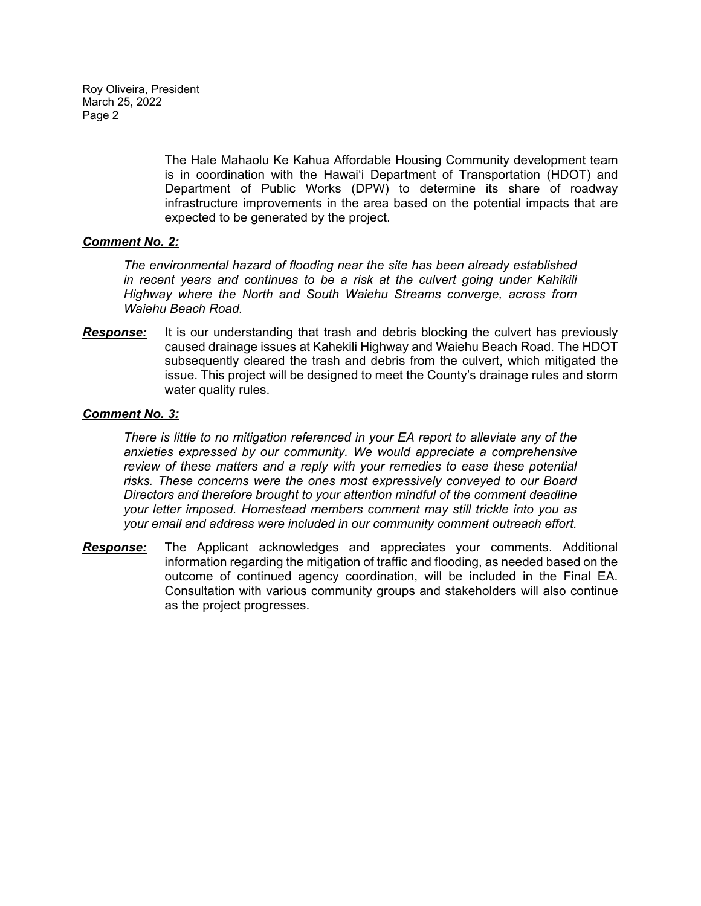Roy Oliveira, President March 25, 2022 Page 2

> The Hale Mahaolu Ke Kahua Affordable Housing Community development team is in coordination with the Hawaiʻi Department of Transportation (HDOT) and Department of Public Works (DPW) to determine its share of roadway infrastructure improvements in the area based on the potential impacts that are expected to be generated by the project.

## *Comment No. 2:*

*The environmental hazard of flooding near the site has been already established in recent years and continues to be a risk at the culvert going under Kahikili Highway where the North and South Waiehu Streams converge, across from Waiehu Beach Road.* 

**Response:** It is our understanding that trash and debris blocking the culvert has previously caused drainage issues at Kahekili Highway and Waiehu Beach Road. The HDOT subsequently cleared the trash and debris from the culvert, which mitigated the issue. This project will be designed to meet the County's drainage rules and storm water quality rules.

## *Comment No. 3:*

*There is little to no mitigation referenced in your EA report to alleviate any of the anxieties expressed by our community. We would appreciate a comprehensive review of these matters and a reply with your remedies to ease these potential risks. These concerns were the ones most expressively conveyed to our Board Directors and therefore brought to your attention mindful of the comment deadline your letter imposed. Homestead members comment may still trickle into you as your email and address were included in our community comment outreach effort.* 

*Response:* The Applicant acknowledges and appreciates your comments. Additional information regarding the mitigation of traffic and flooding, as needed based on the outcome of continued agency coordination, will be included in the Final EA. Consultation with various community groups and stakeholders will also continue as the project progresses.